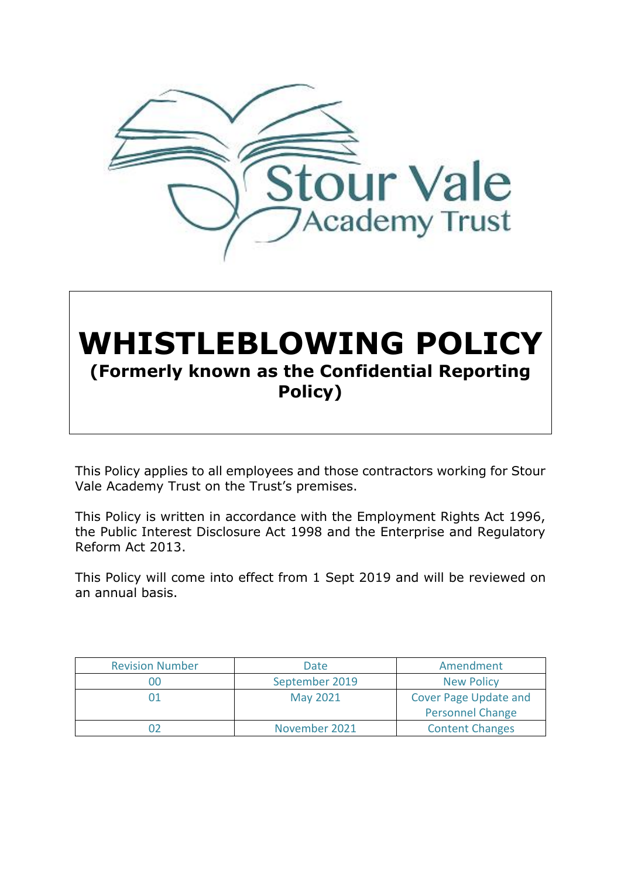

# **WHISTLEBLOWING POLICY (Formerly known as the Confidential Reporting Policy)**

This Policy applies to all employees and those contractors working for Stour Vale Academy Trust on the Trust's premises.

This Policy is written in accordance with the Employment Rights Act 1996, the Public Interest Disclosure Act 1998 and the Enterprise and Regulatory Reform Act 2013.

This Policy will come into effect from 1 Sept 2019 and will be reviewed on an annual basis.

| <b>Revision Number</b> | Date            | Amendment                                               |
|------------------------|-----------------|---------------------------------------------------------|
| 00                     | September 2019  | <b>New Policy</b>                                       |
| 01                     | <b>May 2021</b> | <b>Cover Page Update and</b><br><b>Personnel Change</b> |
|                        |                 |                                                         |
|                        | November 2021   | <b>Content Changes</b>                                  |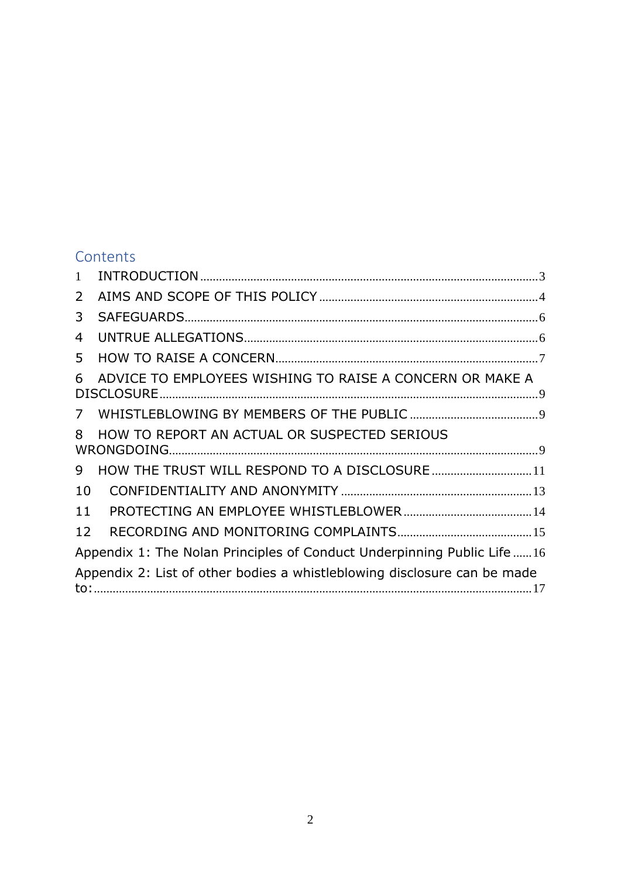# **Contents**

| $\mathbf{1}$              |                                                                          |  |
|---------------------------|--------------------------------------------------------------------------|--|
| $\mathsf{2}^{\mathsf{2}}$ |                                                                          |  |
| 3                         |                                                                          |  |
| 4                         |                                                                          |  |
| 5                         |                                                                          |  |
| 6                         | ADVICE TO EMPLOYEES WISHING TO RAISE A CONCERN OR MAKE A                 |  |
| 7 <sup>7</sup>            |                                                                          |  |
| 8                         | HOW TO REPORT AN ACTUAL OR SUSPECTED SERIOUS                             |  |
| 9                         | HOW THE TRUST WILL RESPOND TO A DISCLOSURE  11                           |  |
| 10                        |                                                                          |  |
| 11                        |                                                                          |  |
| 12                        |                                                                          |  |
|                           | Appendix 1: The Nolan Principles of Conduct Underpinning Public Life 16  |  |
|                           | Appendix 2: List of other bodies a whistleblowing disclosure can be made |  |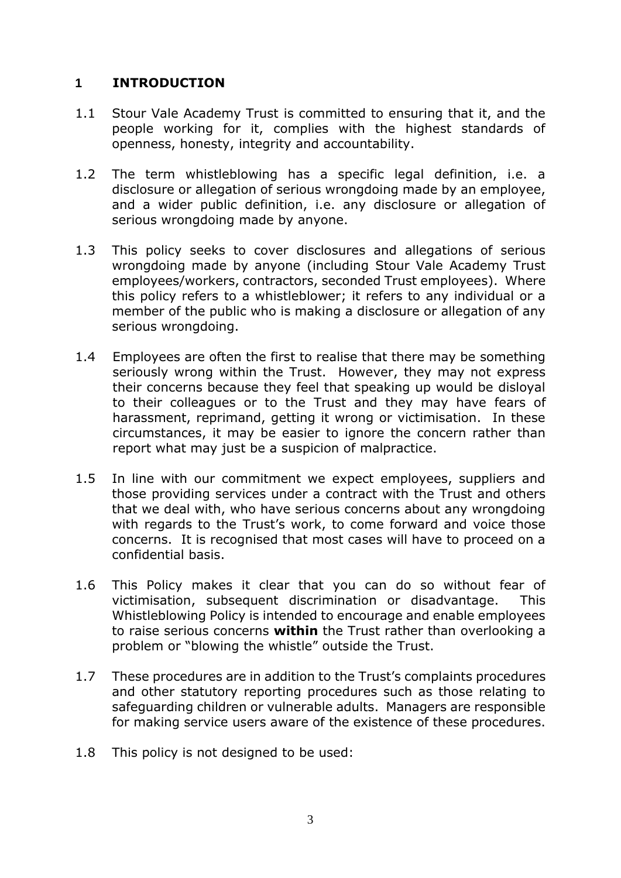#### <span id="page-2-0"></span>**1 INTRODUCTION**

- 1.1 Stour Vale Academy Trust is committed to ensuring that it, and the people working for it, complies with the highest standards of openness, honesty, integrity and accountability.
- 1.2 The term whistleblowing has a specific legal definition, i.e. a disclosure or allegation of serious wrongdoing made by an employee, and a wider public definition, i.e. any disclosure or allegation of serious wrongdoing made by anyone.
- 1.3 This policy seeks to cover disclosures and allegations of serious wrongdoing made by anyone (including Stour Vale Academy Trust employees/workers, contractors, seconded Trust employees). Where this policy refers to a whistleblower; it refers to any individual or a member of the public who is making a disclosure or allegation of any serious wrongdoing.
- 1.4 Employees are often the first to realise that there may be something seriously wrong within the Trust. However, they may not express their concerns because they feel that speaking up would be disloyal to their colleagues or to the Trust and they may have fears of harassment, reprimand, getting it wrong or victimisation. In these circumstances, it may be easier to ignore the concern rather than report what may just be a suspicion of malpractice.
- 1.5 In line with our commitment we expect employees, suppliers and those providing services under a contract with the Trust and others that we deal with, who have serious concerns about any wrongdoing with regards to the Trust's work, to come forward and voice those concerns. It is recognised that most cases will have to proceed on a confidential basis.
- 1.6 This Policy makes it clear that you can do so without fear of victimisation, subsequent discrimination or disadvantage. This Whistleblowing Policy is intended to encourage and enable employees to raise serious concerns **within** the Trust rather than overlooking a problem or "blowing the whistle" outside the Trust.
- 1.7 These procedures are in addition to the Trust's complaints procedures and other statutory reporting procedures such as those relating to safeguarding children or vulnerable adults. Managers are responsible for making service users aware of the existence of these procedures.
- 1.8 This policy is not designed to be used: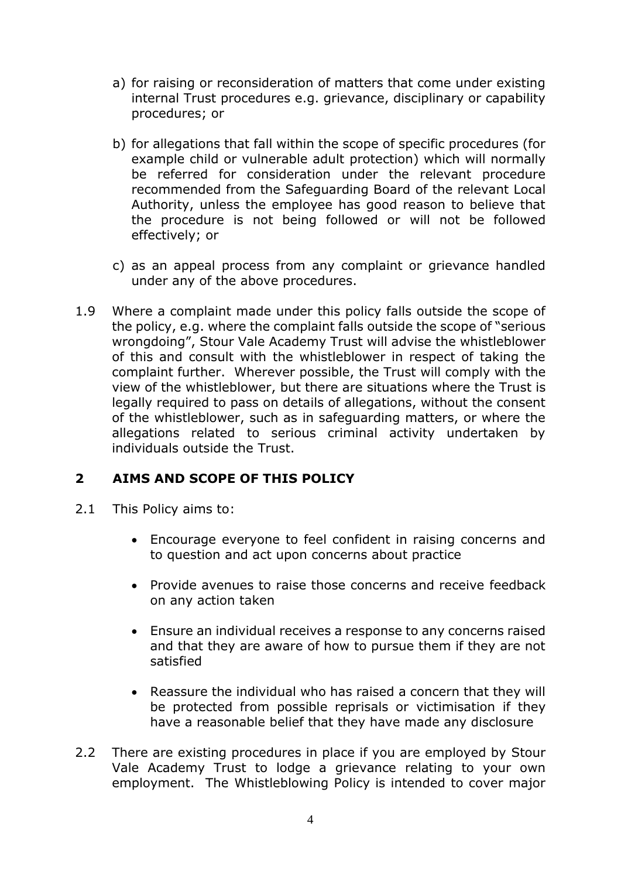- a) for raising or reconsideration of matters that come under existing internal Trust procedures e.g. grievance, disciplinary or capability procedures; or
- b) for allegations that fall within the scope of specific procedures (for example child or vulnerable adult protection) which will normally be referred for consideration under the relevant procedure recommended from the Safeguarding Board of the relevant Local Authority, unless the employee has good reason to believe that the procedure is not being followed or will not be followed effectively; or
- c) as an appeal process from any complaint or grievance handled under any of the above procedures.
- 1.9 Where a complaint made under this policy falls outside the scope of the policy, e.g. where the complaint falls outside the scope of "serious wrongdoing", Stour Vale Academy Trust will advise the whistleblower of this and consult with the whistleblower in respect of taking the complaint further. Wherever possible, the Trust will comply with the view of the whistleblower, but there are situations where the Trust is legally required to pass on details of allegations, without the consent of the whistleblower, such as in safeguarding matters, or where the allegations related to serious criminal activity undertaken by individuals outside the Trust.

# <span id="page-3-0"></span>**2 AIMS AND SCOPE OF THIS POLICY**

- 2.1 This Policy aims to:
	- Encourage everyone to feel confident in raising concerns and to question and act upon concerns about practice
	- Provide avenues to raise those concerns and receive feedback on any action taken
	- Ensure an individual receives a response to any concerns raised and that they are aware of how to pursue them if they are not satisfied
	- Reassure the individual who has raised a concern that they will be protected from possible reprisals or victimisation if they have a reasonable belief that they have made any disclosure
- 2.2 There are existing procedures in place if you are employed by Stour Vale Academy Trust to lodge a grievance relating to your own employment. The Whistleblowing Policy is intended to cover major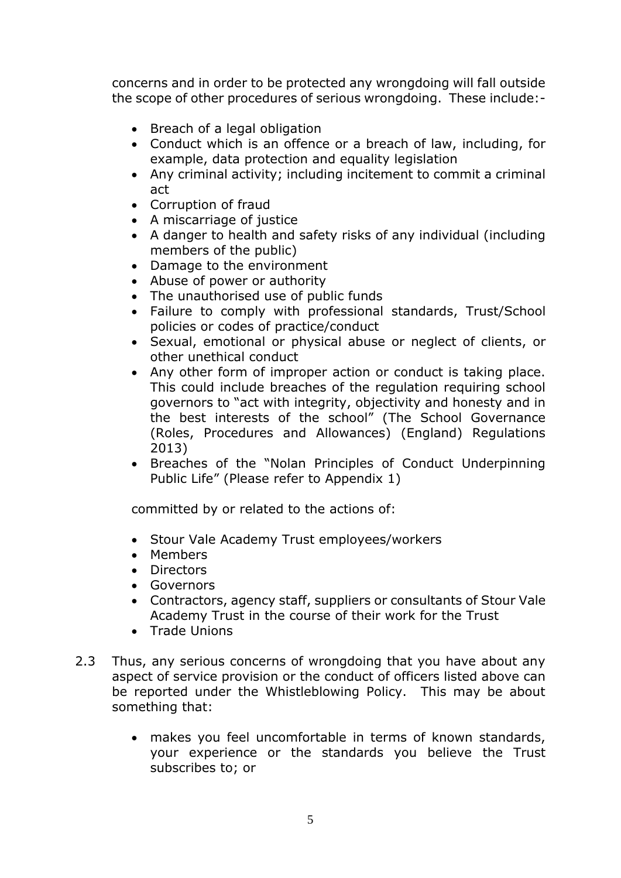concerns and in order to be protected any wrongdoing will fall outside the scope of other procedures of serious wrongdoing. These include:-

- Breach of a legal obligation
- Conduct which is an offence or a breach of law, including, for example, data protection and equality legislation
- Any criminal activity; including incitement to commit a criminal act
- Corruption of fraud
- A miscarriage of justice
- A danger to health and safety risks of any individual (including members of the public)
- Damage to the environment
- Abuse of power or authority
- The unauthorised use of public funds
- Failure to comply with professional standards, Trust/School policies or codes of practice/conduct
- Sexual, emotional or physical abuse or neglect of clients, or other unethical conduct
- Any other form of improper action or conduct is taking place. This could include breaches of the regulation requiring school governors to "act with integrity, objectivity and honesty and in the best interests of the school" (The School Governance (Roles, Procedures and Allowances) (England) Regulations 2013)
- Breaches of the "Nolan Principles of Conduct Underpinning Public Life" (Please refer to Appendix 1)

committed by or related to the actions of:

- Stour Vale Academy Trust employees/workers
- Members
- Directors
- Governors
- Contractors, agency staff, suppliers or consultants of Stour Vale Academy Trust in the course of their work for the Trust
- Trade Unions
- 2.3 Thus, any serious concerns of wrongdoing that you have about any aspect of service provision or the conduct of officers listed above can be reported under the Whistleblowing Policy. This may be about something that:
	- makes you feel uncomfortable in terms of known standards, your experience or the standards you believe the Trust subscribes to; or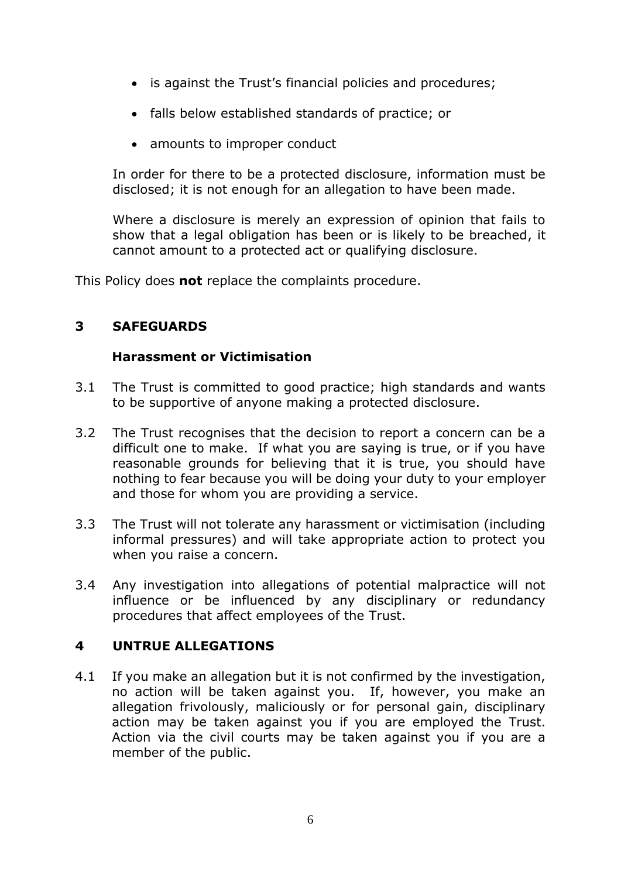- is against the Trust's financial policies and procedures;
- falls below established standards of practice; or
- amounts to improper conduct

In order for there to be a protected disclosure, information must be disclosed; it is not enough for an allegation to have been made.

Where a disclosure is merely an expression of opinion that fails to show that a legal obligation has been or is likely to be breached, it cannot amount to a protected act or qualifying disclosure.

This Policy does **not** replace the complaints procedure.

# <span id="page-5-0"></span>**3 SAFEGUARDS**

#### **Harassment or Victimisation**

- 3.1 The Trust is committed to good practice; high standards and wants to be supportive of anyone making a protected disclosure.
- 3.2 The Trust recognises that the decision to report a concern can be a difficult one to make. If what you are saying is true, or if you have reasonable grounds for believing that it is true, you should have nothing to fear because you will be doing your duty to your employer and those for whom you are providing a service.
- 3.3 The Trust will not tolerate any harassment or victimisation (including informal pressures) and will take appropriate action to protect you when you raise a concern.
- 3.4 Any investigation into allegations of potential malpractice will not influence or be influenced by any disciplinary or redundancy procedures that affect employees of the Trust.

## <span id="page-5-1"></span>**4 UNTRUE ALLEGATIONS**

4.1 If you make an allegation but it is not confirmed by the investigation, no action will be taken against you. If, however, you make an allegation frivolously, maliciously or for personal gain, disciplinary action may be taken against you if you are employed the Trust. Action via the civil courts may be taken against you if you are a member of the public.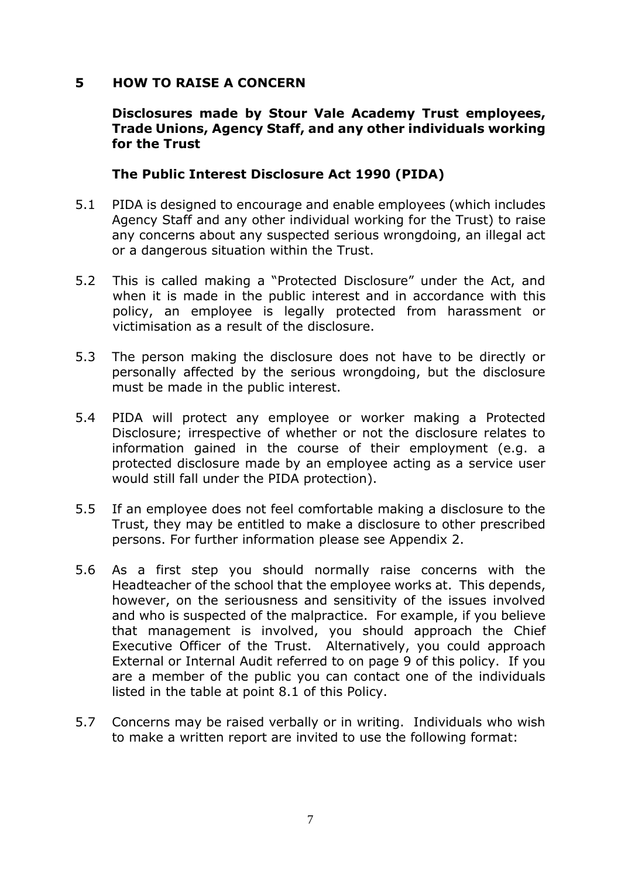#### <span id="page-6-0"></span>**5 HOW TO RAISE A CONCERN**

#### **Disclosures made by Stour Vale Academy Trust employees, Trade Unions, Agency Staff, and any other individuals working for the Trust**

#### **The Public Interest Disclosure Act 1990 (PIDA)**

- 5.1 PIDA is designed to encourage and enable employees (which includes Agency Staff and any other individual working for the Trust) to raise any concerns about any suspected serious wrongdoing, an illegal act or a dangerous situation within the Trust.
- 5.2 This is called making a "Protected Disclosure" under the Act, and when it is made in the public interest and in accordance with this policy, an employee is legally protected from harassment or victimisation as a result of the disclosure.
- 5.3 The person making the disclosure does not have to be directly or personally affected by the serious wrongdoing, but the disclosure must be made in the public interest.
- 5.4 PIDA will protect any employee or worker making a Protected Disclosure; irrespective of whether or not the disclosure relates to information gained in the course of their employment (e.g. a protected disclosure made by an employee acting as a service user would still fall under the PIDA protection).
- 5.5 If an employee does not feel comfortable making a disclosure to the Trust, they may be entitled to make a disclosure to other prescribed persons. For further information please see Appendix 2.
- 5.6 As a first step you should normally raise concerns with the Headteacher of the school that the employee works at. This depends, however, on the seriousness and sensitivity of the issues involved and who is suspected of the malpractice. For example, if you believe that management is involved, you should approach the Chief Executive Officer of the Trust. Alternatively, you could approach External or Internal Audit referred to on page 9 of this policy. If you are a member of the public you can contact one of the individuals listed in the table at point 8.1 of this Policy.
- 5.7 Concerns may be raised verbally or in writing. Individuals who wish to make a written report are invited to use the following format: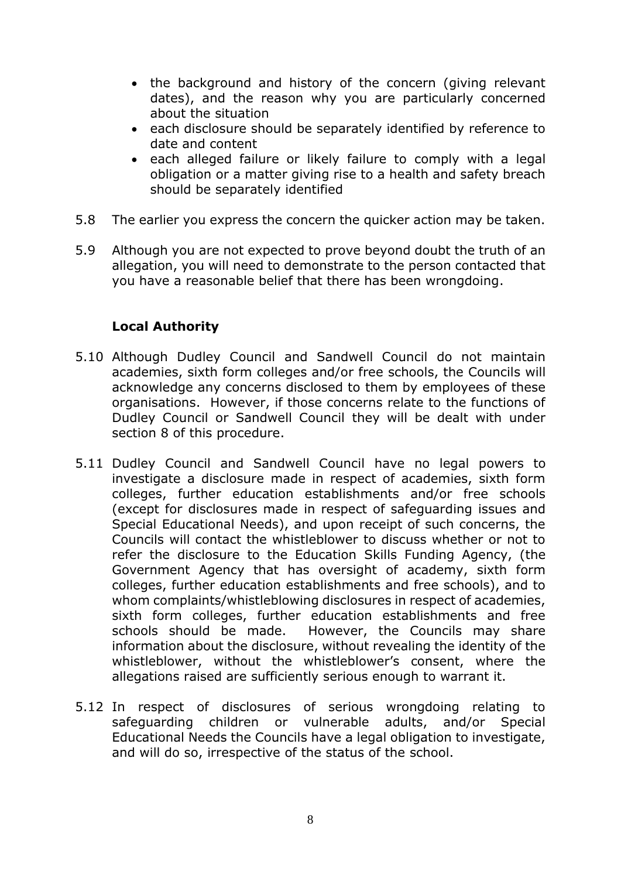- the background and history of the concern (giving relevant dates), and the reason why you are particularly concerned about the situation
- each disclosure should be separately identified by reference to date and content
- each alleged failure or likely failure to comply with a legal obligation or a matter giving rise to a health and safety breach should be separately identified
- 5.8 The earlier you express the concern the quicker action may be taken.
- 5.9 Although you are not expected to prove beyond doubt the truth of an allegation, you will need to demonstrate to the person contacted that you have a reasonable belief that there has been wrongdoing.

## **Local Authority**

- 5.10 Although Dudley Council and Sandwell Council do not maintain academies, sixth form colleges and/or free schools, the Councils will acknowledge any concerns disclosed to them by employees of these organisations. However, if those concerns relate to the functions of Dudley Council or Sandwell Council they will be dealt with under section 8 of this procedure.
- 5.11 Dudley Council and Sandwell Council have no legal powers to investigate a disclosure made in respect of academies, sixth form colleges, further education establishments and/or free schools (except for disclosures made in respect of safeguarding issues and Special Educational Needs), and upon receipt of such concerns, the Councils will contact the whistleblower to discuss whether or not to refer the disclosure to the Education Skills Funding Agency, (the Government Agency that has oversight of academy, sixth form colleges, further education establishments and free schools), and to whom complaints/whistleblowing disclosures in respect of academies, sixth form colleges, further education establishments and free schools should be made. However, the Councils may share information about the disclosure, without revealing the identity of the whistleblower, without the whistleblower's consent, where the allegations raised are sufficiently serious enough to warrant it.
- 5.12 In respect of disclosures of serious wrongdoing relating to safeguarding children or vulnerable adults, and/or Special Educational Needs the Councils have a legal obligation to investigate, and will do so, irrespective of the status of the school.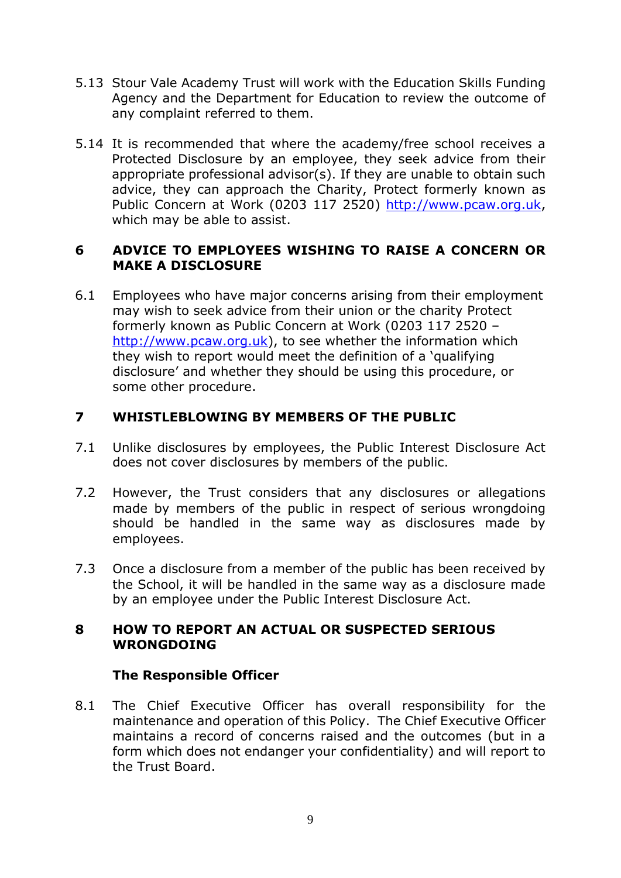- 5.13 Stour Vale Academy Trust will work with the Education Skills Funding Agency and the Department for Education to review the outcome of any complaint referred to them.
- 5.14 It is recommended that where the academy/free school receives a Protected Disclosure by an employee, they seek advice from their appropriate professional advisor(s). If they are unable to obtain such advice, they can approach the Charity, Protect formerly known as Public Concern at Work (0203 117 2520) [http://www.pcaw.org.uk,](http://www.pcaw.org.uk/) which may be able to assist.

## <span id="page-8-0"></span>**6 ADVICE TO EMPLOYEES WISHING TO RAISE A CONCERN OR MAKE A DISCLOSURE**

6.1 Employees who have major concerns arising from their employment may wish to seek advice from their union or the charity Protect formerly known as Public Concern at Work (0203 117 2520 – [http://www.pcaw.org.uk\)](http://www.pcaw.org.uk/), to see whether the information which they wish to report would meet the definition of a 'qualifying disclosure' and whether they should be using this procedure, or some other procedure.

## <span id="page-8-1"></span>**7 WHISTLEBLOWING BY MEMBERS OF THE PUBLIC**

- 7.1 Unlike disclosures by employees, the Public Interest Disclosure Act does not cover disclosures by members of the public.
- 7.2 However, the Trust considers that any disclosures or allegations made by members of the public in respect of serious wrongdoing should be handled in the same way as disclosures made by employees.
- 7.3 Once a disclosure from a member of the public has been received by the School, it will be handled in the same way as a disclosure made by an employee under the Public Interest Disclosure Act.

#### <span id="page-8-2"></span>**8 HOW TO REPORT AN ACTUAL OR SUSPECTED SERIOUS WRONGDOING**

#### **The Responsible Officer**

8.1 The Chief Executive Officer has overall responsibility for the maintenance and operation of this Policy. The Chief Executive Officer maintains a record of concerns raised and the outcomes (but in a form which does not endanger your confidentiality) and will report to the Trust Board.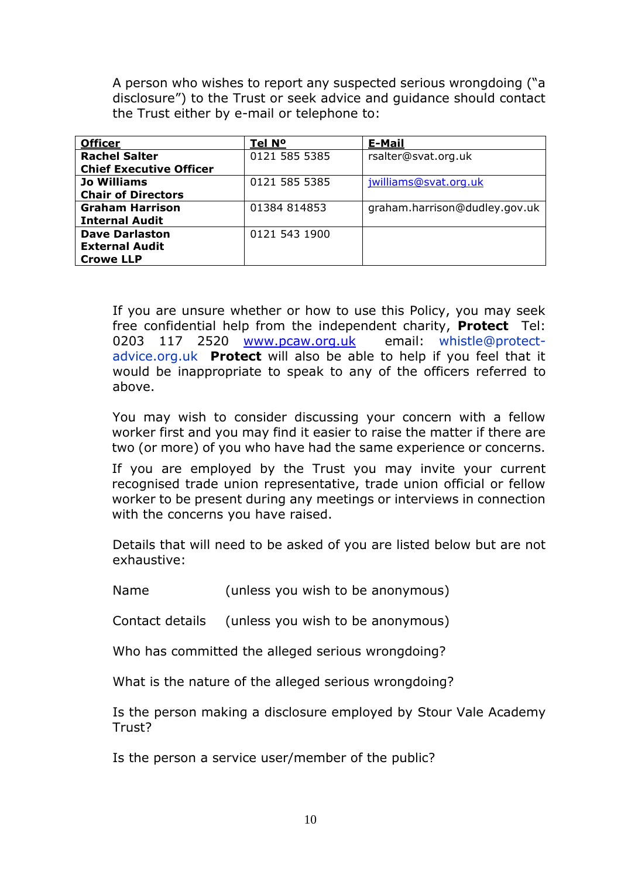A person who wishes to report any suspected serious wrongdoing ("a disclosure") to the Trust or seek advice and guidance should contact the Trust either by e-mail or telephone to:

| <b>Officer</b>                 | Tel N <sup>o</sup> | <b>E-Mail</b>                 |
|--------------------------------|--------------------|-------------------------------|
| <b>Rachel Salter</b>           | 0121 585 5385      | rsalter@svat.org.uk           |
| <b>Chief Executive Officer</b> |                    |                               |
| <b>Jo Williams</b>             | 0121 585 5385      | jwilliams@svat.org.uk         |
| <b>Chair of Directors</b>      |                    |                               |
| <b>Graham Harrison</b>         | 01384 814853       | graham.harrison@dudley.gov.uk |
| <b>Internal Audit</b>          |                    |                               |
| <b>Dave Darlaston</b>          | 0121 543 1900      |                               |
| <b>External Audit</b>          |                    |                               |
| <b>Crowe LLP</b>               |                    |                               |

If you are unsure whether or how to use this Policy, you may seek free confidential help from the independent charity, **Protect** Tel: 0203 117 2520 [www.pcaw.org.uk](http://www.pcaw.org.uk/) email: [whistle@protect](mailto:whistle@protect-advice.org.uk)[advice.org.uk](mailto:whistle@protect-advice.org.uk) **Protect** will also be able to help if you feel that it would be inappropriate to speak to any of the officers referred to above.

You may wish to consider discussing your concern with a fellow worker first and you may find it easier to raise the matter if there are two (or more) of you who have had the same experience or concerns.

If you are employed by the Trust you may invite your current recognised trade union representative, trade union official or fellow worker to be present during any meetings or interviews in connection with the concerns you have raised.

Details that will need to be asked of you are listed below but are not exhaustive:

Name (unless you wish to be anonymous)

Contact details (unless you wish to be anonymous)

Who has committed the alleged serious wrongdoing?

What is the nature of the alleged serious wrongdoing?

Is the person making a disclosure employed by Stour Vale Academy Trust?

Is the person a service user/member of the public?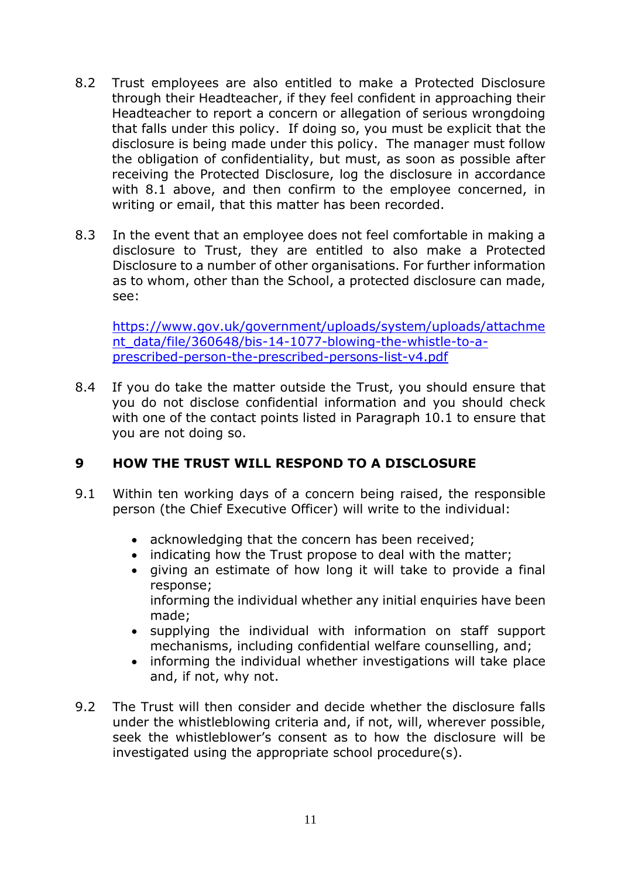- 8.2 Trust employees are also entitled to make a Protected Disclosure through their Headteacher, if they feel confident in approaching their Headteacher to report a concern or allegation of serious wrongdoing that falls under this policy. If doing so, you must be explicit that the disclosure is being made under this policy. The manager must follow the obligation of confidentiality, but must, as soon as possible after receiving the Protected Disclosure, log the disclosure in accordance with 8.1 above, and then confirm to the emplovee concerned, in writing or email, that this matter has been recorded.
- 8.3 In the event that an employee does not feel comfortable in making a disclosure to Trust, they are entitled to also make a Protected Disclosure to a number of other organisations. For further information as to whom, other than the School, a protected disclosure can made, see:

[https://www.gov.uk/government/uploads/system/uploads/attachme](https://www.gov.uk/government/uploads/system/uploads/attachment_data/file/360648/bis-14-1077-blowing-the-whistle-to-a-prescribed-person-the-prescribed-persons-list-v4.pdf) [nt\\_data/file/360648/bis-14-1077-blowing-the-whistle-to-a](https://www.gov.uk/government/uploads/system/uploads/attachment_data/file/360648/bis-14-1077-blowing-the-whistle-to-a-prescribed-person-the-prescribed-persons-list-v4.pdf)[prescribed-person-the-prescribed-persons-list-v4.pdf](https://www.gov.uk/government/uploads/system/uploads/attachment_data/file/360648/bis-14-1077-blowing-the-whistle-to-a-prescribed-person-the-prescribed-persons-list-v4.pdf)

8.4 If you do take the matter outside the Trust, you should ensure that you do not disclose confidential information and you should check with one of the contact points listed in Paragraph 10.1 to ensure that you are not doing so.

# <span id="page-10-0"></span>**9 HOW THE TRUST WILL RESPOND TO A DISCLOSURE**

- 9.1 Within ten working days of a concern being raised, the responsible person (the Chief Executive Officer) will write to the individual:
	- acknowledging that the concern has been received;
	- indicating how the Trust propose to deal with the matter;
	- giving an estimate of how long it will take to provide a final response; informing the individual whether any initial enquiries have been made;
	- supplying the individual with information on staff support mechanisms, including confidential welfare counselling, and;
	- informing the individual whether investigations will take place and, if not, why not.
- 9.2 The Trust will then consider and decide whether the disclosure falls under the whistleblowing criteria and, if not, will, wherever possible, seek the whistleblower's consent as to how the disclosure will be investigated using the appropriate school procedure(s).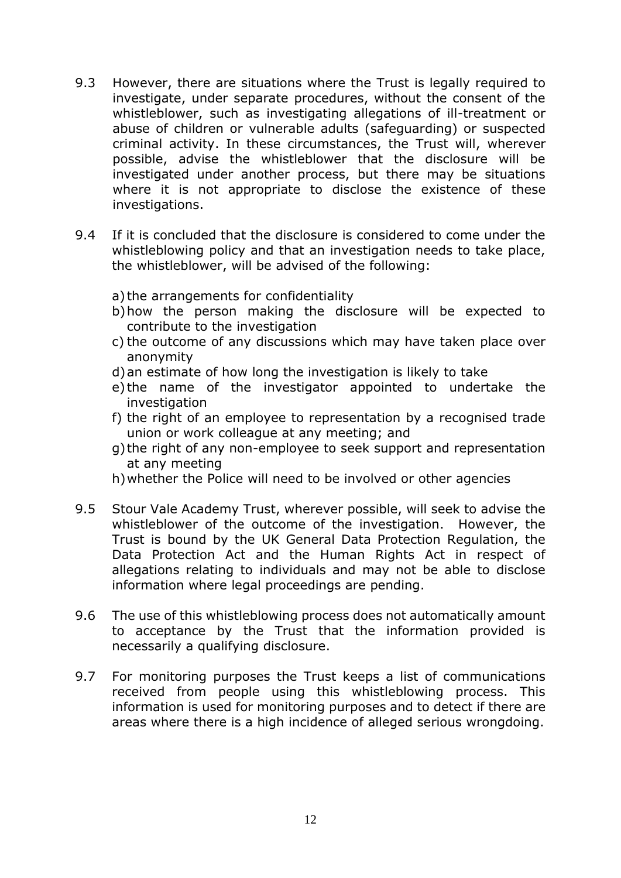- 9.3 However, there are situations where the Trust is legally required to investigate, under separate procedures, without the consent of the whistleblower, such as investigating allegations of ill-treatment or abuse of children or vulnerable adults (safeguarding) or suspected criminal activity. In these circumstances, the Trust will, wherever possible, advise the whistleblower that the disclosure will be investigated under another process, but there may be situations where it is not appropriate to disclose the existence of these investigations.
- 9.4 If it is concluded that the disclosure is considered to come under the whistleblowing policy and that an investigation needs to take place, the whistleblower, will be advised of the following:
	- a) the arrangements for confidentiality
	- b)how the person making the disclosure will be expected to contribute to the investigation
	- c) the outcome of any discussions which may have taken place over anonymity
	- d)an estimate of how long the investigation is likely to take
	- e) the name of the investigator appointed to undertake the investigation
	- f) the right of an employee to representation by a recognised trade union or work colleague at any meeting; and
	- g) the right of any non-employee to seek support and representation at any meeting
	- h)whether the Police will need to be involved or other agencies
- 9.5 Stour Vale Academy Trust, wherever possible, will seek to advise the whistleblower of the outcome of the investigation. However, the Trust is bound by the UK General Data Protection Regulation, the Data Protection Act and the Human Rights Act in respect of allegations relating to individuals and may not be able to disclose information where legal proceedings are pending.
- 9.6 The use of this whistleblowing process does not automatically amount to acceptance by the Trust that the information provided is necessarily a qualifying disclosure.
- 9.7 For monitoring purposes the Trust keeps a list of communications received from people using this whistleblowing process. This information is used for monitoring purposes and to detect if there are areas where there is a high incidence of alleged serious wrongdoing.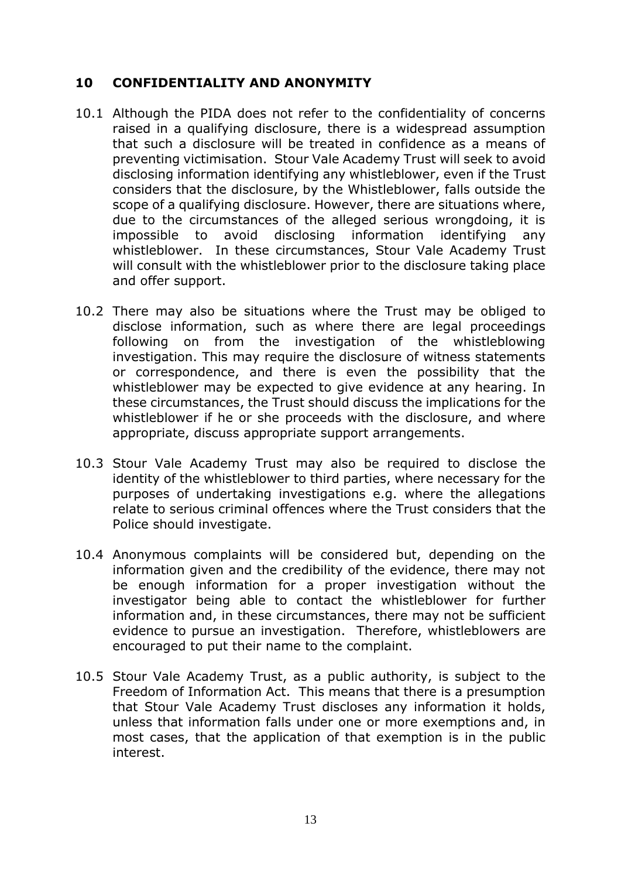#### <span id="page-12-0"></span>**10 CONFIDENTIALITY AND ANONYMITY**

- 10.1 Although the PIDA does not refer to the confidentiality of concerns raised in a qualifying disclosure, there is a widespread assumption that such a disclosure will be treated in confidence as a means of preventing victimisation. Stour Vale Academy Trust will seek to avoid disclosing information identifying any whistleblower, even if the Trust considers that the disclosure, by the Whistleblower, falls outside the scope of a qualifying disclosure. However, there are situations where, due to the circumstances of the alleged serious wrongdoing, it is impossible to avoid disclosing information identifying any whistleblower. In these circumstances, Stour Vale Academy Trust will consult with the whistleblower prior to the disclosure taking place and offer support.
- 10.2 There may also be situations where the Trust may be obliged to disclose information, such as where there are legal proceedings following on from the investigation of the whistleblowing investigation. This may require the disclosure of witness statements or correspondence, and there is even the possibility that the whistleblower may be expected to give evidence at any hearing. In these circumstances, the Trust should discuss the implications for the whistleblower if he or she proceeds with the disclosure, and where appropriate, discuss appropriate support arrangements.
- 10.3 Stour Vale Academy Trust may also be required to disclose the identity of the whistleblower to third parties, where necessary for the purposes of undertaking investigations e.g. where the allegations relate to serious criminal offences where the Trust considers that the Police should investigate.
- 10.4 Anonymous complaints will be considered but, depending on the information given and the credibility of the evidence, there may not be enough information for a proper investigation without the investigator being able to contact the whistleblower for further information and, in these circumstances, there may not be sufficient evidence to pursue an investigation. Therefore, whistleblowers are encouraged to put their name to the complaint.
- 10.5 Stour Vale Academy Trust, as a public authority, is subject to the Freedom of Information Act. This means that there is a presumption that Stour Vale Academy Trust discloses any information it holds, unless that information falls under one or more exemptions and, in most cases, that the application of that exemption is in the public interest.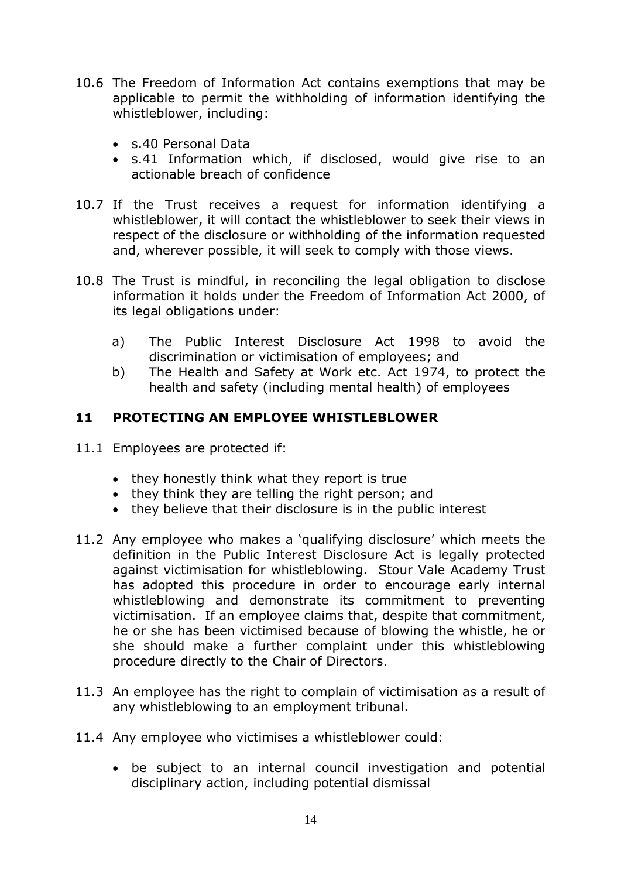- 10.6 The Freedom of Information Act contains exemptions that may be applicable to permit the withholding of information identifying the whistleblower, including:
	- s.40 Personal Data
	- s.41 Information which, if disclosed, would give rise to an actionable breach of confidence
- 10.7 If the Trust receives a request for information identifying a whistleblower, it will contact the whistleblower to seek their views in respect of the disclosure or withholding of the information requested and, wherever possible, it will seek to comply with those views.
- 10.8 The Trust is mindful, in reconciling the legal obligation to disclose information it holds under the Freedom of Information Act 2000, of its legal obligations under:
	- a) The Public Interest Disclosure Act 1998 to avoid the discrimination or victimisation of employees; and
	- b) The Health and Safety at Work etc. Act 1974, to protect the health and safety (including mental health) of employees

## <span id="page-13-0"></span>**11 PROTECTING AN EMPLOYEE WHISTLEBLOWER**

- 11.1 Employees are protected if:
	- they honestly think what they report is true
	- they think they are telling the right person; and
	- they believe that their disclosure is in the public interest
- 11.2 Any employee who makes a 'qualifying disclosure' which meets the definition in the Public Interest Disclosure Act is legally protected against victimisation for whistleblowing. Stour Vale Academy Trust has adopted this procedure in order to encourage early internal whistleblowing and demonstrate its commitment to preventing victimisation. If an employee claims that, despite that commitment, he or she has been victimised because of blowing the whistle, he or she should make a further complaint under this whistleblowing procedure directly to the Chair of Directors.
- 11.3 An employee has the right to complain of victimisation as a result of any whistleblowing to an employment tribunal.
- 11.4 Any employee who victimises a whistleblower could:
	- be subject to an internal council investigation and potential disciplinary action, including potential dismissal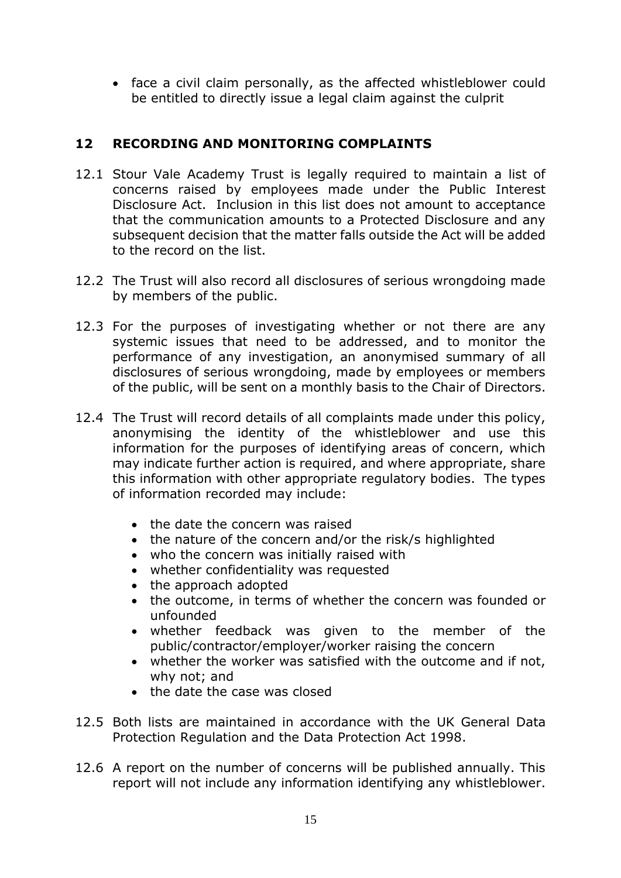• face a civil claim personally, as the affected whistleblower could be entitled to directly issue a legal claim against the culprit

# <span id="page-14-0"></span>**12 RECORDING AND MONITORING COMPLAINTS**

- 12.1 Stour Vale Academy Trust is legally required to maintain a list of concerns raised by employees made under the Public Interest Disclosure Act. Inclusion in this list does not amount to acceptance that the communication amounts to a Protected Disclosure and any subsequent decision that the matter falls outside the Act will be added to the record on the list.
- 12.2 The Trust will also record all disclosures of serious wrongdoing made by members of the public.
- 12.3 For the purposes of investigating whether or not there are any systemic issues that need to be addressed, and to monitor the performance of any investigation, an anonymised summary of all disclosures of serious wrongdoing, made by employees or members of the public, will be sent on a monthly basis to the Chair of Directors.
- 12.4 The Trust will record details of all complaints made under this policy, anonymising the identity of the whistleblower and use this information for the purposes of identifying areas of concern, which may indicate further action is required, and where appropriate, share this information with other appropriate regulatory bodies. The types of information recorded may include:
	- the date the concern was raised
	- the nature of the concern and/or the risk/s highlighted
	- who the concern was initially raised with
	- whether confidentiality was requested
	- the approach adopted
	- the outcome, in terms of whether the concern was founded or unfounded
	- whether feedback was given to the member of the public/contractor/employer/worker raising the concern
	- whether the worker was satisfied with the outcome and if not, why not; and
	- the date the case was closed
- 12.5 Both lists are maintained in accordance with the UK General Data Protection Regulation and the Data Protection Act 1998.
- 12.6 A report on the number of concerns will be published annually. This report will not include any information identifying any whistleblower.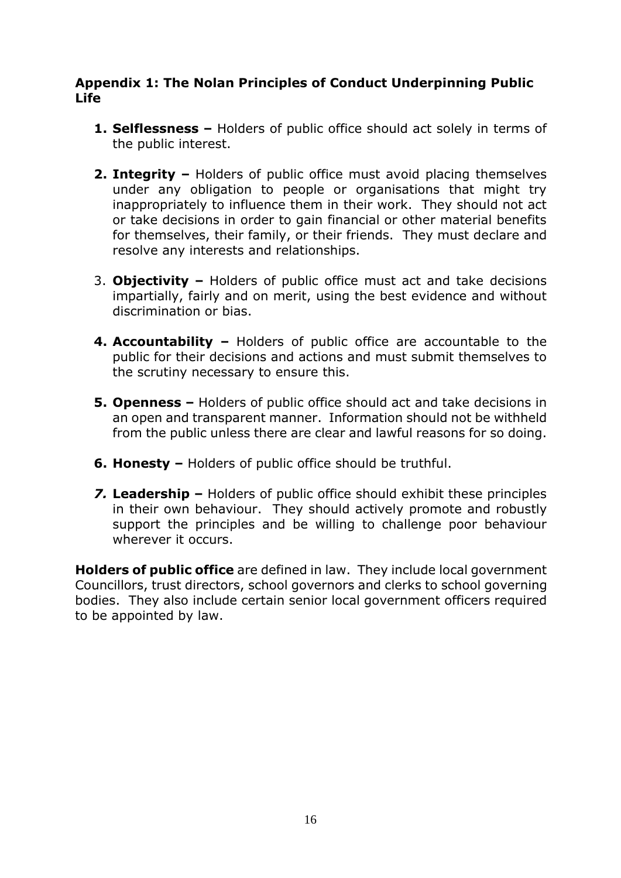## <span id="page-15-0"></span>**Appendix 1: The Nolan Principles of Conduct Underpinning Public Life**

- **1. Selflessness –** Holders of public office should act solely in terms of the public interest.
- **2. Integrity –** Holders of public office must avoid placing themselves under any obligation to people or organisations that might try inappropriately to influence them in their work. They should not act or take decisions in order to gain financial or other material benefits for themselves, their family, or their friends. They must declare and resolve any interests and relationships.
- 3. **Objectivity –** Holders of public office must act and take decisions impartially, fairly and on merit, using the best evidence and without discrimination or bias.
- **4. Accountability –** Holders of public office are accountable to the public for their decisions and actions and must submit themselves to the scrutiny necessary to ensure this.
- **5. Openness –** Holders of public office should act and take decisions in an open and transparent manner. Information should not be withheld from the public unless there are clear and lawful reasons for so doing.
- **6. Honesty –** Holders of public office should be truthful.
- *7.* **Leadership –** Holders of public office should exhibit these principles in their own behaviour. They should actively promote and robustly support the principles and be willing to challenge poor behaviour wherever it occurs.

**Holders of public office** are defined in law. They include local government Councillors, trust directors, school governors and clerks to school governing bodies. They also include certain senior local government officers required to be appointed by law.